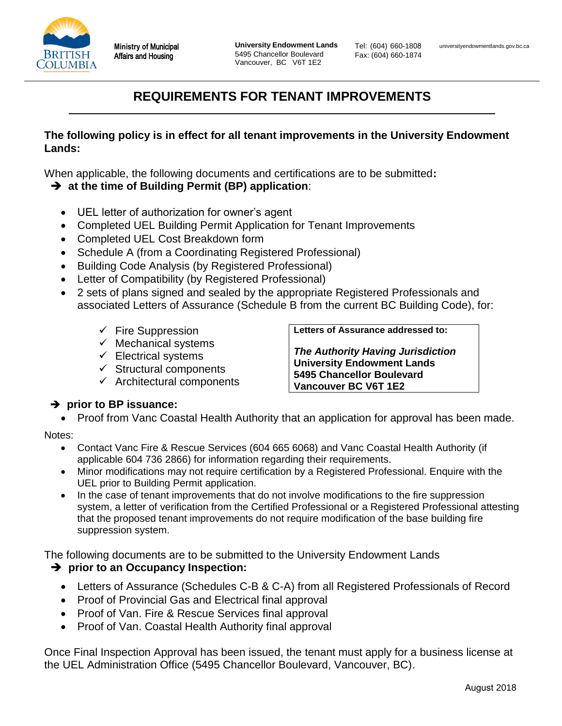

Tel: (604) 660-1808 Fax: (604) 660-1874

# **REQUIREMENTS FOR TENANT IMPROVEMENTS**

#### **The following policy is in effect for all tenant improvements in the University Endowment Lands:**

When applicable, the following documents and certifications are to be submitted**:** 

- **at the time of Building Permit (BP) application**:
	- UEL letter of authorization for owner's agent
	- Completed UEL Building Permit Application for Tenant Improvements
	- Completed UEL Cost Breakdown form
	- Schedule A (from a Coordinating Registered Professional)
	- Building Code Analysis (by Registered Professional)
	- Letter of Compatibility (by Registered Professional)
	- 2 sets of plans signed and sealed by the appropriate Registered Professionals and associated Letters of Assurance (Schedule B from the current BC Building Code), for:
		- $\checkmark$  Fire Suppression
		- $\checkmark$  Mechanical systems
		- $\checkmark$  Electrical systems
		- $\checkmark$  Structural components
		- $\checkmark$  Architectural components

**Letters of Assurance addressed to:**

*The Authority Having Jurisdiction* **University Endowment Lands 5495 Chancellor Boulevard Vancouver BC V6T 1E2**

#### **→ prior to BP issuance:**

• Proof from Vanc Coastal Health Authority that an application for approval has been made.

Notes:

- Contact Vanc Fire & Rescue Services (604 665 6068) and Vanc Coastal Health Authority (if applicable 604 736 2866) for information regarding their requirements.
- Minor modifications may not require certification by a Registered Professional. Enquire with the UEL prior to Building Permit application.
- In the case of tenant improvements that do not involve modifications to the fire suppression system, a letter of verification from the Certified Professional or a Registered Professional attesting that the proposed tenant improvements do not require modification of the base building fire suppression system.

The following documents are to be submitted to the University Endowment Lands

### **P** prior to an Occupancy Inspection:

- Letters of Assurance (Schedules C-B & C-A) from all Registered Professionals of Record
- Proof of Provincial Gas and Electrical final approval
- Proof of Van. Fire & Rescue Services final approval
- Proof of Van. Coastal Health Authority final approval

Once Final Inspection Approval has been issued, the tenant must apply for a business license at the UEL Administration Office (5495 Chancellor Boulevard, Vancouver, BC).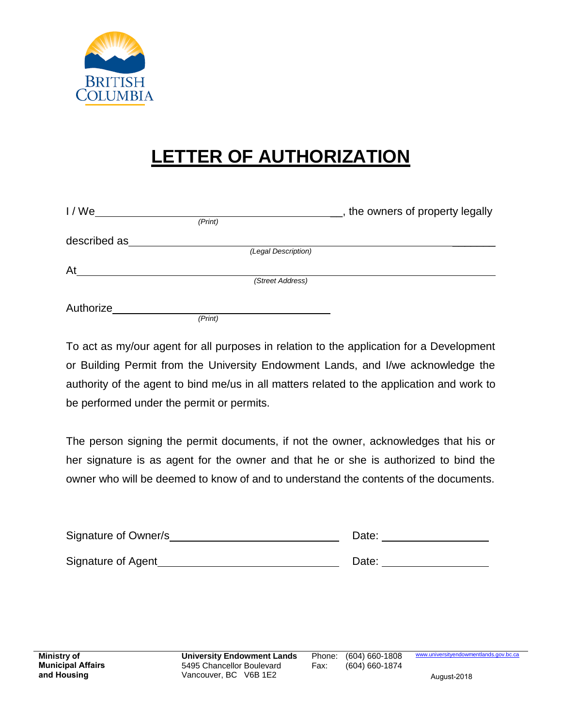

# **LETTER OF AUTHORIZATION**

| I/We         |         |                     | the owners of property legally |
|--------------|---------|---------------------|--------------------------------|
|              | (Print) |                     |                                |
| described as |         |                     |                                |
|              |         | (Legal Description) |                                |
| At           |         |                     |                                |
|              |         | (Street Address)    |                                |
|              |         |                     |                                |
| Authorize    |         |                     |                                |
|              | (Print) |                     |                                |

To act as my/our agent for all purposes in relation to the application for a Development or Building Permit from the University Endowment Lands, and I/we acknowledge the authority of the agent to bind me/us in all matters related to the application and work to be performed under the permit or permits.

The person signing the permit documents, if not the owner, acknowledges that his or her signature is as agent for the owner and that he or she is authorized to bind the owner who will be deemed to know of and to understand the contents of the documents.

| Signature of Owner/s | Date: |
|----------------------|-------|
| Signature of Agent   | Date: |

www.universityendowmentlands.gov.bc.ca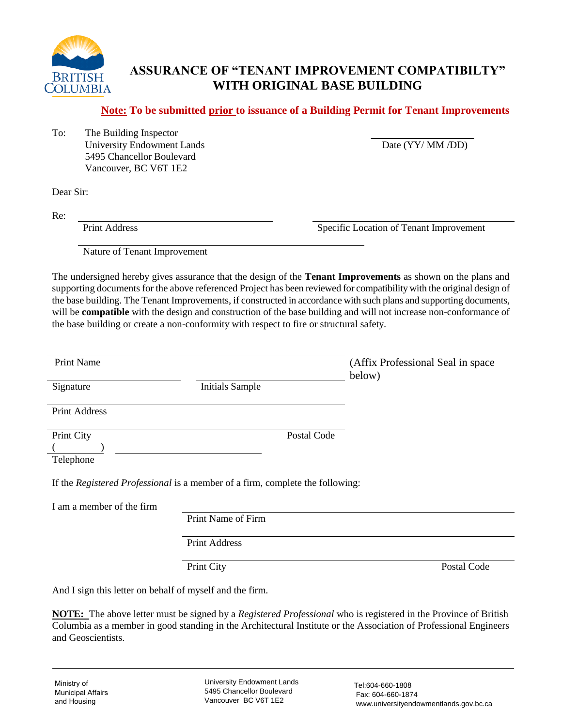

# **ASSURANCE OF "TENANT IMPROVEMENT COMPATIBILTY" WITH ORIGINAL BASE BUILDING**

**Note: To be submitted prior to issuance of a Building Permit for Tenant Improvements** 

To: The Building Inspector University Endowment Lands Date (YY/ MM /DD) 5495 Chancellor Boulevard Vancouver, BC V6T 1E2

Dear Sir:

Re:

Print Address Specific Location of Tenant Improvement

Nature of Tenant Improvement

The undersigned hereby gives assurance that the design of the **Tenant Improvements** as shown on the plans and supporting documents for the above referenced Project has been reviewed for compatibility with the original design of the base building. The Tenant Improvements, if constructed in accordance with such plans and supporting documents, will be **compatible** with the design and construction of the base building and will not increase non-conformance of the base building or create a non-conformity with respect to fire or structural safety.

| Print Name                |                                                                               | (Affix Professional Seal in space)<br>below) |
|---------------------------|-------------------------------------------------------------------------------|----------------------------------------------|
| Signature                 | <b>Initials Sample</b>                                                        |                                              |
| <b>Print Address</b>      |                                                                               |                                              |
| Print City                | Postal Code                                                                   |                                              |
| Telephone                 |                                                                               |                                              |
|                           | If the Registered Professional is a member of a firm, complete the following: |                                              |
| I am a member of the firm |                                                                               |                                              |
|                           | Print Name of Firm                                                            |                                              |
|                           | <b>Print Address</b>                                                          |                                              |

Print City Postal Code

And I sign this letter on behalf of myself and the firm.

**NOTE:** The above letter must be signed by a *Registered Professional* who is registered in the Province of British Columbia as a member in good standing in the Architectural Institute or the Association of Professional Engineers and Geoscientists.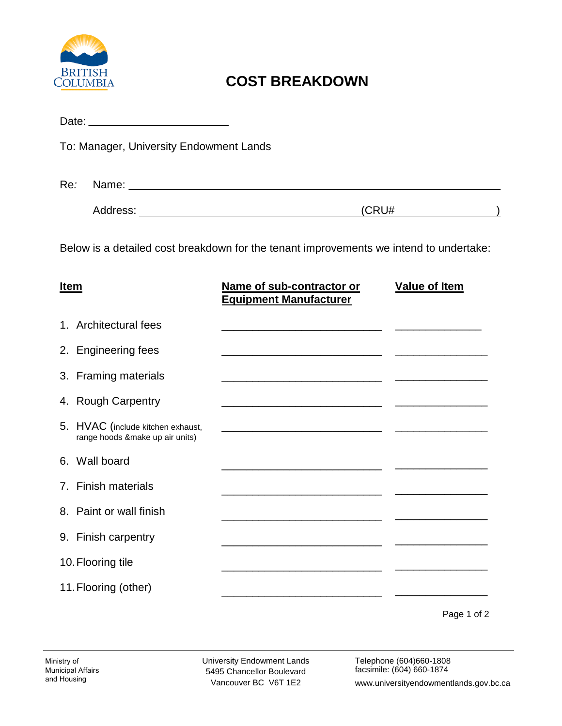

# **COST BREAKDOWN**

|                                                                                        |  | To: Manager, University Endowment Lands                              |                                                                  |                      |
|----------------------------------------------------------------------------------------|--|----------------------------------------------------------------------|------------------------------------------------------------------|----------------------|
| Re:                                                                                    |  |                                                                      |                                                                  |                      |
|                                                                                        |  |                                                                      | (CRU#                                                            |                      |
| Below is a detailed cost breakdown for the tenant improvements we intend to undertake: |  |                                                                      |                                                                  |                      |
| <b>Item</b>                                                                            |  |                                                                      | Name of sub-contractor or<br><b>Equipment Manufacturer</b>       | <b>Value of Item</b> |
|                                                                                        |  | 1. Architectural fees                                                | <u> 1980 - Jan Barnett, fransk politiker (d. 1980)</u>           |                      |
|                                                                                        |  | 2. Engineering fees                                                  |                                                                  |                      |
|                                                                                        |  | 3. Framing materials                                                 |                                                                  |                      |
|                                                                                        |  | 4. Rough Carpentry                                                   |                                                                  |                      |
|                                                                                        |  | 5. HVAC (include kitchen exhaust,<br>range hoods &make up air units) |                                                                  |                      |
|                                                                                        |  | 6. Wall board                                                        | <u> 1980 - Jan James James, martin amerikan bahasa (j. 1918)</u> |                      |
|                                                                                        |  | 7. Finish materials                                                  | <u> 1980 - Jan Barbara, manazarta da yang ba</u>                 |                      |
|                                                                                        |  | 8. Paint or wall finish                                              |                                                                  |                      |
|                                                                                        |  | 9. Finish carpentry                                                  |                                                                  |                      |
| 10. Flooring tile                                                                      |  |                                                                      |                                                                  |                      |
|                                                                                        |  | 11. Flooring (other)                                                 |                                                                  |                      |

Page 1 of 2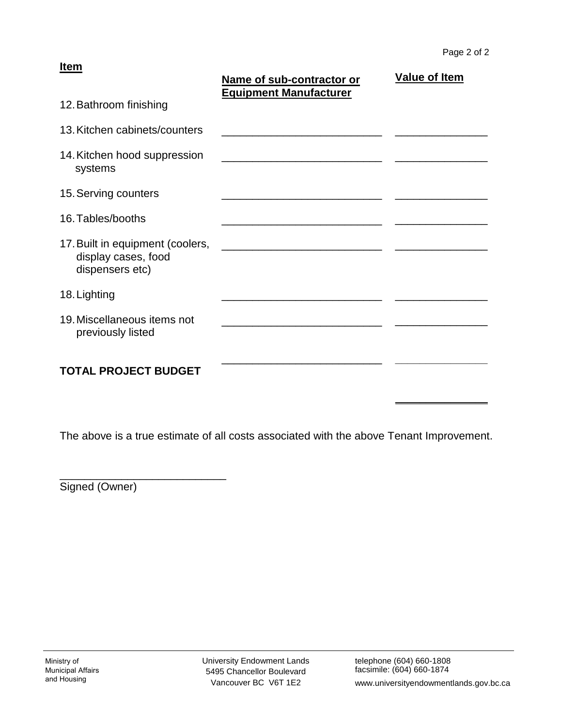#### **Item**

|                                                                            | Name of sub-contractor or<br><b>Equipment Manufacturer</b> | <b>Value of Item</b> |
|----------------------------------------------------------------------------|------------------------------------------------------------|----------------------|
| 12. Bathroom finishing                                                     |                                                            |                      |
| 13. Kitchen cabinets/counters                                              |                                                            |                      |
| 14. Kitchen hood suppression<br>systems                                    |                                                            |                      |
| 15. Serving counters                                                       |                                                            |                      |
| 16. Tables/booths                                                          |                                                            |                      |
| 17. Built in equipment (coolers,<br>display cases, food<br>dispensers etc) |                                                            |                      |
| 18. Lighting                                                               |                                                            |                      |
| 19. Miscellaneous items not<br>previously listed                           |                                                            |                      |
| <b>TOTAL PROJECT BUDGET</b>                                                |                                                            |                      |

The above is a true estimate of all costs associated with the above Tenant Improvement.

Signed (Owner)

\_\_\_\_\_\_\_\_\_\_\_\_\_\_\_\_\_\_\_\_\_\_\_\_\_\_\_

**\_\_\_\_\_\_\_\_\_\_\_\_\_\_\_**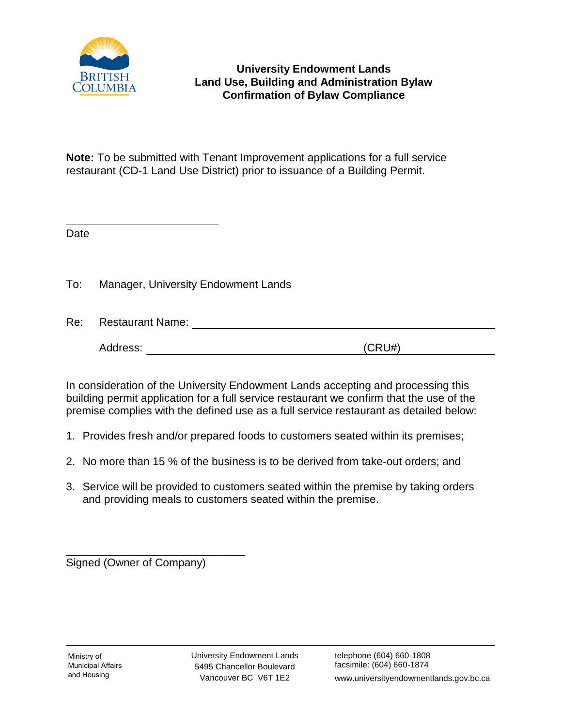

# **University Endowment Lands Land Use, Building and Administration Bylaw Confirmation of Bylaw Compliance**

**Note:** To be submitted with Tenant Improvement applications for a full service restaurant (CD-1 Land Use District) prior to issuance of a Building Permit.

Date

To: Manager, University Endowment Lands

Re: Restaurant Name: Address: (CRU#)

In consideration of the University Endowment Lands accepting and processing this building permit application for a full service restaurant we confirm that the use of the premise complies with the defined use as a full service restaurant as detailed below:

1. Provides fresh and/or prepared foods to customers seated within its premises;

- 2. No more than 15 % of the business is to be derived from take-out orders; and
- 3. Service will be provided to customers seated within the premise by taking orders and providing meals to customers seated within the premise.

\_\_\_\_\_\_\_\_\_\_\_\_\_\_\_\_\_\_\_\_\_\_\_\_\_\_\_\_\_ Signed (Owner of Company)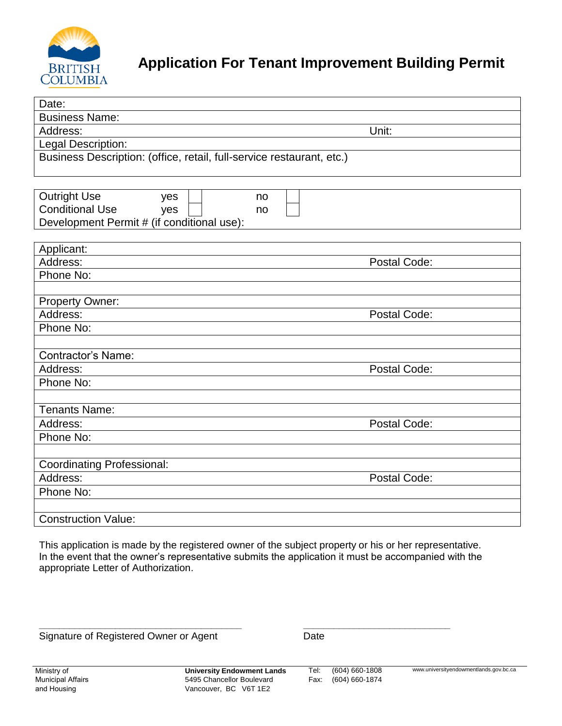

# **Application For Tenant Improvement Building Permit**

| Date:                                                                 |              |
|-----------------------------------------------------------------------|--------------|
| <b>Business Name:</b>                                                 |              |
| Address:                                                              | Unit:        |
| Legal Description:                                                    |              |
| Business Description: (office, retail, full-service restaurant, etc.) |              |
|                                                                       |              |
|                                                                       |              |
| <b>Outright Use</b><br>yes<br>no                                      |              |
| <b>Conditional Use</b><br>yes<br>no                                   |              |
| Development Permit # (if conditional use):                            |              |
|                                                                       |              |
| Applicant:                                                            |              |
| Address:                                                              | Postal Code: |
| Phone No:                                                             |              |
|                                                                       |              |
| <b>Property Owner:</b><br>Address:                                    | Postal Code: |
| Phone No:                                                             |              |
|                                                                       |              |
| <b>Contractor's Name:</b>                                             |              |
| Address:                                                              | Postal Code: |
| Phone No:                                                             |              |
|                                                                       |              |
| <b>Tenants Name:</b>                                                  |              |
| Address:                                                              | Postal Code: |
| Phone No:                                                             |              |
|                                                                       |              |
| <b>Coordinating Professional:</b>                                     |              |
| Address:                                                              | Postal Code: |
| Phone No:                                                             |              |
|                                                                       |              |
| <b>Construction Value:</b>                                            |              |

This application is made by the registered owner of the subject property or his or her representative. In the event that the owner's representative submits the application it must be accompanied with the appropriate Letter of Authorization.

Signature of Registered Owner or Agent

**\_\_\_\_\_\_\_\_\_\_\_\_\_\_\_\_\_\_\_\_\_\_\_\_\_\_\_\_\_\_\_\_\_\_\_\_\_\_\_\_ \_\_\_\_\_\_\_\_\_\_\_\_\_\_\_\_\_\_\_\_\_\_\_\_\_\_\_\_\_**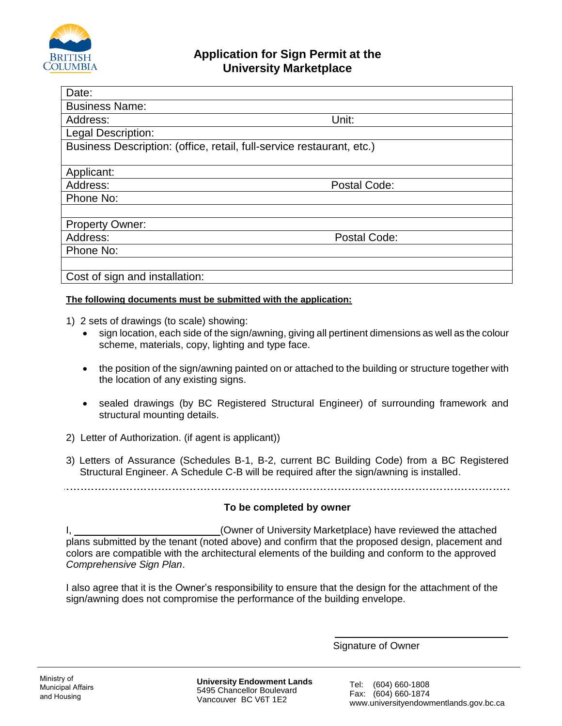

| Date:                                                                 |              |
|-----------------------------------------------------------------------|--------------|
| <b>Business Name:</b>                                                 |              |
| Address:                                                              | Unit:        |
| <b>Legal Description:</b>                                             |              |
| Business Description: (office, retail, full-service restaurant, etc.) |              |
|                                                                       |              |
| Applicant:                                                            |              |
| Address:                                                              | Postal Code: |
| Phone No:                                                             |              |
|                                                                       |              |
| <b>Property Owner:</b>                                                |              |
| Address:                                                              | Postal Code: |
| Phone No:                                                             |              |
|                                                                       |              |
| Cost of sign and installation:                                        |              |

#### **The following documents must be submitted with the application:**

- 1) 2 sets of drawings (to scale) showing:
	- sign location, each side of the sign/awning, giving all pertinent dimensions as well as the colour scheme, materials, copy, lighting and type face.
	- the position of the sign/awning painted on or attached to the building or structure together with the location of any existing signs.
	- sealed drawings (by BC Registered Structural Engineer) of surrounding framework and structural mounting details.
- 2) Letter of Authorization. (if agent is applicant))
- 3) Letters of Assurance (Schedules B-1, B-2, current BC Building Code) from a BC Registered Structural Engineer. A Schedule C-B will be required after the sign/awning is installed.

#### **To be completed by owner**

I, (Owner of University Marketplace) have reviewed the attached plans submitted by the tenant (noted above) and confirm that the proposed design, placement and colors are compatible with the architectural elements of the building and conform to the approved *Comprehensive Sign Plan*.

I also agree that it is the Owner's responsibility to ensure that the design for the attachment of the sign/awning does not compromise the performance of the building envelope.

Signature of Owner